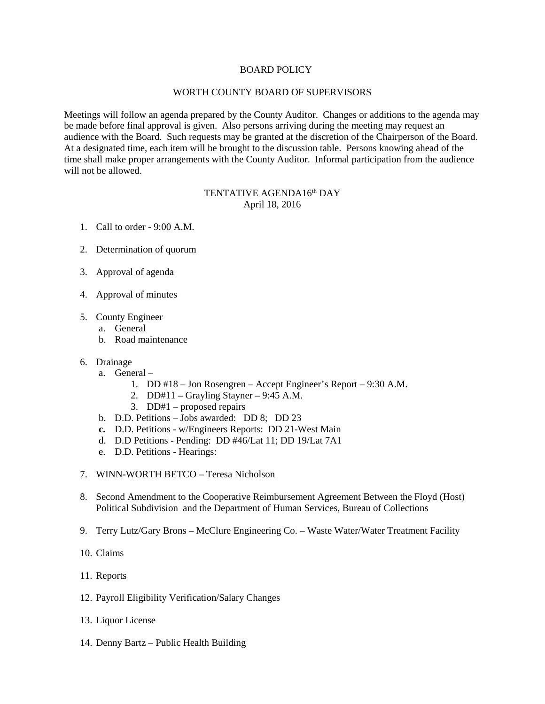## BOARD POLICY

### WORTH COUNTY BOARD OF SUPERVISORS

Meetings will follow an agenda prepared by the County Auditor. Changes or additions to the agenda may be made before final approval is given. Also persons arriving during the meeting may request an audience with the Board. Such requests may be granted at the discretion of the Chairperson of the Board. At a designated time, each item will be brought to the discussion table. Persons knowing ahead of the time shall make proper arrangements with the County Auditor. Informal participation from the audience will not be allowed.

# TENTATIVE AGENDA16<sup>th</sup> DAY April 18, 2016

- 1. Call to order 9:00 A.M.
- 2. Determination of quorum
- 3. Approval of agenda
- 4. Approval of minutes
- 5. County Engineer
	- a. General
	- b. Road maintenance
- 6. Drainage
	- a. General
		- 1. DD #18 Jon Rosengren Accept Engineer's Report 9:30 A.M.
		- 2. DD#11 Grayling Stayner 9:45 A.M.
		- 3. DD#1 proposed repairs
	- b. D.D. Petitions Jobs awarded: DD 8; DD 23
	- **c.** D.D. Petitions w/Engineers Reports: DD 21-West Main
	- d. D.D Petitions Pending: DD #46/Lat 11; DD 19/Lat 7A1
	- e. D.D. Petitions Hearings:
- 7. WINN-WORTH BETCO Teresa Nicholson
- 8. Second Amendment to the Cooperative Reimbursement Agreement Between the Floyd (Host) Political Subdivision and the Department of Human Services, Bureau of Collections
- 9. Terry Lutz/Gary Brons McClure Engineering Co. Waste Water/Water Treatment Facility
- 10. Claims
- 11. Reports
- 12. Payroll Eligibility Verification/Salary Changes
- 13. Liquor License
- 14. Denny Bartz Public Health Building